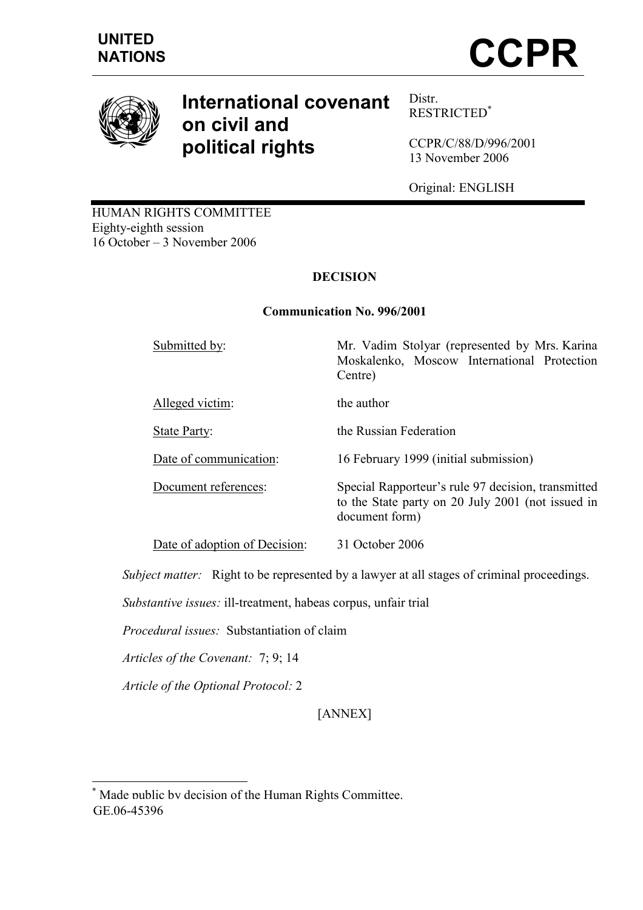

# International covenant on civil and political rights

Distr. RESTRICTED\*

CCPR/C/88/D/996/2001 13 November 2006

Original: ENGLISH

HUMAN RIGHTS COMMITTEE Eighty-eighth session 16 October – 3 November 2006

# **DECISION**

# Communication No. 996/2001

Submitted by: Mr. Vadim Stolyar (represented by Mrs. Karina Moskalenko, Moscow International Protection Centre) Alleged victim: the author State Party: the Russian Federation Date of communication: 16 February 1999 (initial submission) Document references: Special Rapporteur's rule 97 decision, transmitted to the State party on 20 July 2001 (not issued in document form) Date of adoption of Decision: 31 October 2006

Subject matter: Right to be represented by a lawyer at all stages of criminal proceedings.

Substantive issues: ill-treatment, habeas corpus, unfair trial

Procedural issues: Substantiation of claim

Articles of the Covenant: 7; 9; 14

Article of the Optional Protocol: 2

 $\overline{a}$ 

[ANNEX]

<sup>\*</sup> Made public by decision of the Human Rights Committee. GE.06-45396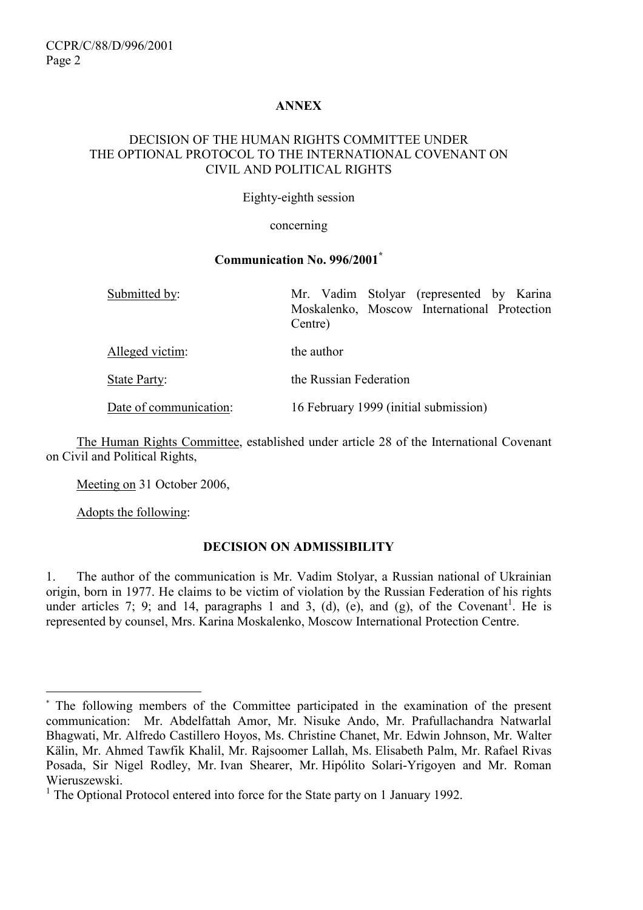## ANNEX

#### DECISION OF THE HUMAN RIGHTS COMMITTEE UNDER THE OPTIONAL PROTOCOL TO THE INTERNATIONAL COVENANT ON CIVIL AND POLITICAL RIGHTS

Eighty-eighth session

#### concerning

#### Communication No. 996/2001\*

| Submitted by:          | Mr. Vadim Stolyar (represented by Karina<br>Moskalenko, Moscow International Protection<br>Centre) |
|------------------------|----------------------------------------------------------------------------------------------------|
| Alleged victim:        | the author                                                                                         |
| State Party:           | the Russian Federation                                                                             |
| Date of communication: | 16 February 1999 (initial submission)                                                              |

 The Human Rights Committee, established under article 28 of the International Covenant on Civil and Political Rights,

Meeting on 31 October 2006,

Adopts the following:

#### DECISION ON ADMISSIBILITY

1. The author of the communication is Mr. Vadim Stolyar, a Russian national of Ukrainian origin, born in 1977. He claims to be victim of violation by the Russian Federation of his rights under articles 7; 9; and 14, paragraphs 1 and 3, (d), (e), and (g), of the Covenant<sup>1</sup>. He is represented by counsel, Mrs. Karina Moskalenko, Moscow International Protection Centre.

 $\overline{a}$ \* The following members of the Committee participated in the examination of the present communication: Mr. Abdelfattah Amor, Mr. Nisuke Ando, Mr. Prafullachandra Natwarlal Bhagwati, Mr. Alfredo Castillero Hoyos, Ms. Christine Chanet, Mr. Edwin Johnson, Mr. Walter Kälin, Mr. Ahmed Tawfik Khalil, Mr. Rajsoomer Lallah, Ms. Elisabeth Palm, Mr. Rafael Rivas Posada, Sir Nigel Rodley, Mr. Ivan Shearer, Mr. Hipólito Solari-Yrigoyen and Mr. Roman Wieruszewski.

<sup>&</sup>lt;sup>1</sup> The Optional Protocol entered into force for the State party on 1 January 1992.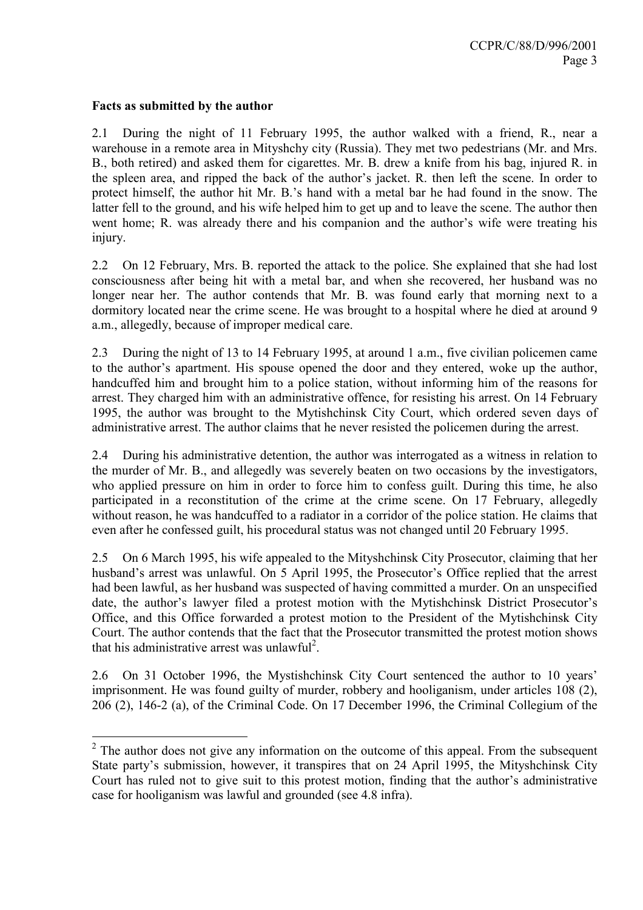#### Facts as submitted by the author

2.1 During the night of 11 February 1995, the author walked with a friend, R., near a warehouse in a remote area in Mityshchy city (Russia). They met two pedestrians (Mr. and Mrs. B., both retired) and asked them for cigarettes. Mr. B. drew a knife from his bag, injured R. in the spleen area, and ripped the back of the author's jacket. R. then left the scene. In order to protect himself, the author hit Mr. B.'s hand with a metal bar he had found in the snow. The latter fell to the ground, and his wife helped him to get up and to leave the scene. The author then went home; R. was already there and his companion and the author's wife were treating his injury.

2.2 On 12 February, Mrs. B. reported the attack to the police. She explained that she had lost consciousness after being hit with a metal bar, and when she recovered, her husband was no longer near her. The author contends that Mr. B. was found early that morning next to a dormitory located near the crime scene. He was brought to a hospital where he died at around 9 a.m., allegedly, because of improper medical care.

2.3 During the night of 13 to 14 February 1995, at around 1 a.m., five civilian policemen came to the author's apartment. His spouse opened the door and they entered, woke up the author, handcuffed him and brought him to a police station, without informing him of the reasons for arrest. They charged him with an administrative offence, for resisting his arrest. On 14 February 1995, the author was brought to the Mytishchinsk City Court, which ordered seven days of administrative arrest. The author claims that he never resisted the policemen during the arrest.

2.4 During his administrative detention, the author was interrogated as a witness in relation to the murder of Mr. B., and allegedly was severely beaten on two occasions by the investigators, who applied pressure on him in order to force him to confess guilt. During this time, he also participated in a reconstitution of the crime at the crime scene. On 17 February, allegedly without reason, he was handcuffed to a radiator in a corridor of the police station. He claims that even after he confessed guilt, his procedural status was not changed until 20 February 1995.

2.5 On 6 March 1995, his wife appealed to the Mityshchinsk City Prosecutor, claiming that her husband's arrest was unlawful. On 5 April 1995, the Prosecutor's Office replied that the arrest had been lawful, as her husband was suspected of having committed a murder. On an unspecified date, the author's lawyer filed a protest motion with the Mytishchinsk District Prosecutor's Office, and this Office forwarded a protest motion to the President of the Mytishchinsk City Court. The author contends that the fact that the Prosecutor transmitted the protest motion shows that his administrative arrest was unlawful<sup>2</sup>.

2.6 On 31 October 1996, the Mystishchinsk City Court sentenced the author to 10 years' imprisonment. He was found guilty of murder, robbery and hooliganism, under articles 108 (2), 206 (2), 146-2 (a), of the Criminal Code. On 17 December 1996, the Criminal Collegium of the

 $\overline{a}$  $2$  The author does not give any information on the outcome of this appeal. From the subsequent State party's submission, however, it transpires that on 24 April 1995, the Mityshchinsk City Court has ruled not to give suit to this protest motion, finding that the author's administrative case for hooliganism was lawful and grounded (see 4.8 infra).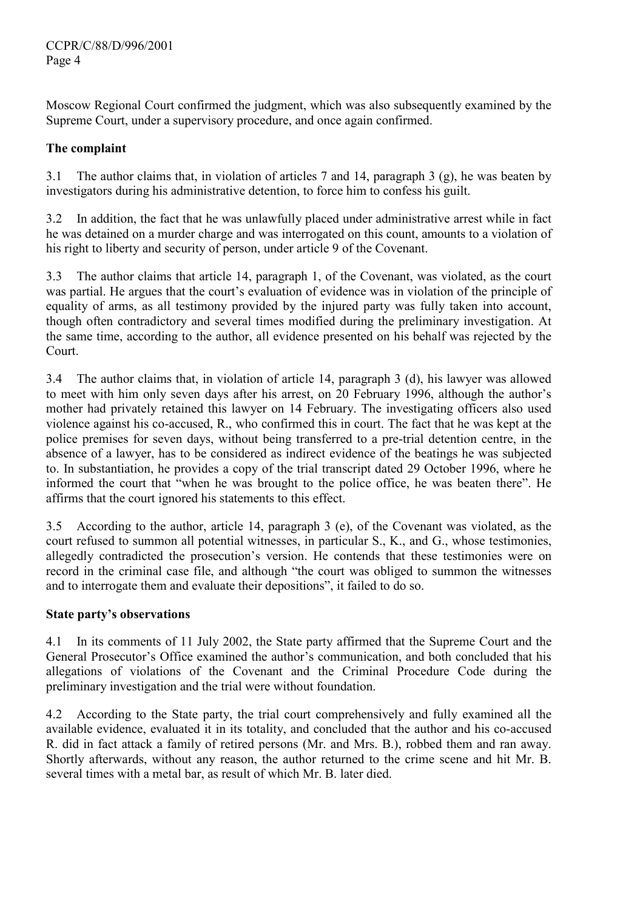Moscow Regional Court confirmed the judgment, which was also subsequently examined by the Supreme Court, under a supervisory procedure, and once again confirmed.

# The complaint

3.1 The author claims that, in violation of articles 7 and 14, paragraph 3 (g), he was beaten by investigators during his administrative detention, to force him to confess his guilt.

3.2 In addition, the fact that he was unlawfully placed under administrative arrest while in fact he was detained on a murder charge and was interrogated on this count, amounts to a violation of his right to liberty and security of person, under article 9 of the Covenant.

3.3 The author claims that article 14, paragraph 1, of the Covenant, was violated, as the court was partial. He argues that the court's evaluation of evidence was in violation of the principle of equality of arms, as all testimony provided by the injured party was fully taken into account, though often contradictory and several times modified during the preliminary investigation. At the same time, according to the author, all evidence presented on his behalf was rejected by the Court.

3.4 The author claims that, in violation of article 14, paragraph 3 (d), his lawyer was allowed to meet with him only seven days after his arrest, on 20 February 1996, although the author's mother had privately retained this lawyer on 14 February. The investigating officers also used violence against his co-accused, R., who confirmed this in court. The fact that he was kept at the police premises for seven days, without being transferred to a pre-trial detention centre, in the absence of a lawyer, has to be considered as indirect evidence of the beatings he was subjected to. In substantiation, he provides a copy of the trial transcript dated 29 October 1996, where he informed the court that "when he was brought to the police office, he was beaten there". He affirms that the court ignored his statements to this effect.

3.5 According to the author, article 14, paragraph 3 (e), of the Covenant was violated, as the court refused to summon all potential witnesses, in particular S., K., and G., whose testimonies, allegedly contradicted the prosecution's version. He contends that these testimonies were on record in the criminal case file, and although "the court was obliged to summon the witnesses and to interrogate them and evaluate their depositions", it failed to do so.

# State party's observations

4.1 In its comments of 11 July 2002, the State party affirmed that the Supreme Court and the General Prosecutor's Office examined the author's communication, and both concluded that his allegations of violations of the Covenant and the Criminal Procedure Code during the preliminary investigation and the trial were without foundation.

4.2 According to the State party, the trial court comprehensively and fully examined all the available evidence, evaluated it in its totality, and concluded that the author and his co-accused R. did in fact attack a family of retired persons (Mr. and Mrs. B.), robbed them and ran away. Shortly afterwards, without any reason, the author returned to the crime scene and hit Mr. B. several times with a metal bar, as result of which Mr. B. later died.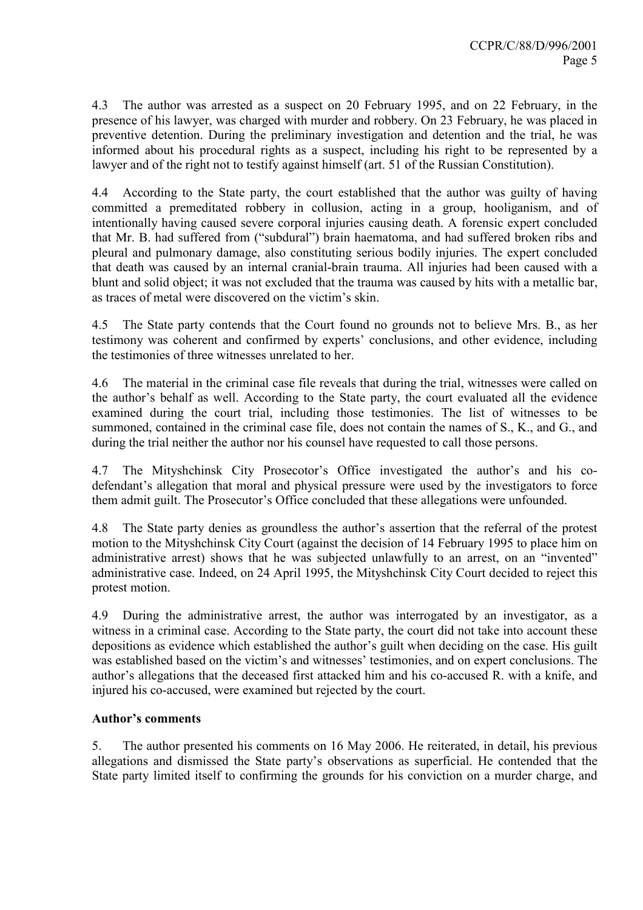4.3 The author was arrested as a suspect on 20 February 1995, and on 22 February, in the presence of his lawyer, was charged with murder and robbery. On 23 February, he was placed in preventive detention. During the preliminary investigation and detention and the trial, he was informed about his procedural rights as a suspect, including his right to be represented by a lawyer and of the right not to testify against himself (art. 51 of the Russian Constitution).

4.4 According to the State party, the court established that the author was guilty of having committed a premeditated robbery in collusion, acting in a group, hooliganism, and of intentionally having caused severe corporal injuries causing death. A forensic expert concluded that Mr. B. had suffered from ("subdural") brain haematoma, and had suffered broken ribs and pleural and pulmonary damage, also constituting serious bodily injuries. The expert concluded that death was caused by an internal cranial-brain trauma. All injuries had been caused with a blunt and solid object; it was not excluded that the trauma was caused by hits with a metallic bar, as traces of metal were discovered on the victim's skin.

4.5 The State party contends that the Court found no grounds not to believe Mrs. B., as her testimony was coherent and confirmed by experts' conclusions, and other evidence, including the testimonies of three witnesses unrelated to her.

4.6 The material in the criminal case file reveals that during the trial, witnesses were called on the author's behalf as well. According to the State party, the court evaluated all the evidence examined during the court trial, including those testimonies. The list of witnesses to be summoned, contained in the criminal case file, does not contain the names of S., K., and G., and during the trial neither the author nor his counsel have requested to call those persons.

4.7 The Mityshchinsk City Prosecotor's Office investigated the author's and his codefendant's allegation that moral and physical pressure were used by the investigators to force them admit guilt. The Prosecutor's Office concluded that these allegations were unfounded.

4.8 The State party denies as groundless the author's assertion that the referral of the protest motion to the Mityshchinsk City Court (against the decision of 14 February 1995 to place him on administrative arrest) shows that he was subjected unlawfully to an arrest, on an "invented" administrative case. Indeed, on 24 April 1995, the Mityshchinsk City Court decided to reject this protest motion.

4.9 During the administrative arrest, the author was interrogated by an investigator, as a witness in a criminal case. According to the State party, the court did not take into account these depositions as evidence which established the author's guilt when deciding on the case. His guilt was established based on the victim's and witnesses' testimonies, and on expert conclusions. The author's allegations that the deceased first attacked him and his co-accused R. with a knife, and injured his co-accused, were examined but rejected by the court.

# Author's comments

5. The author presented his comments on 16 May 2006. He reiterated, in detail, his previous allegations and dismissed the State party's observations as superficial. He contended that the State party limited itself to confirming the grounds for his conviction on a murder charge, and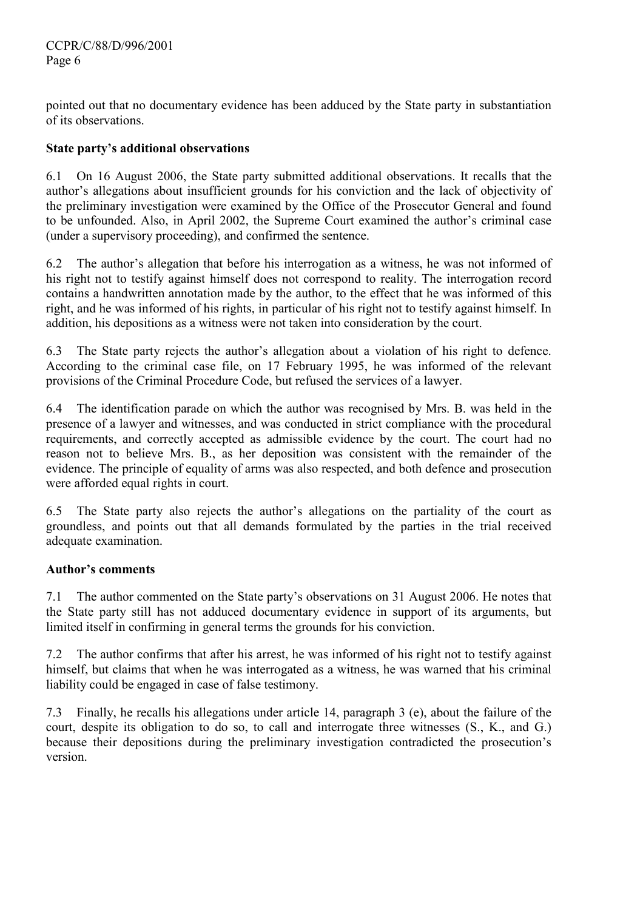pointed out that no documentary evidence has been adduced by the State party in substantiation of its observations.

# State party's additional observations

6.1 On 16 August 2006, the State party submitted additional observations. It recalls that the author's allegations about insufficient grounds for his conviction and the lack of objectivity of the preliminary investigation were examined by the Office of the Prosecutor General and found to be unfounded. Also, in April 2002, the Supreme Court examined the author's criminal case (under a supervisory proceeding), and confirmed the sentence.

6.2 The author's allegation that before his interrogation as a witness, he was not informed of his right not to testify against himself does not correspond to reality. The interrogation record contains a handwritten annotation made by the author, to the effect that he was informed of this right, and he was informed of his rights, in particular of his right not to testify against himself. In addition, his depositions as a witness were not taken into consideration by the court.

6.3 The State party rejects the author's allegation about a violation of his right to defence. According to the criminal case file, on 17 February 1995, he was informed of the relevant provisions of the Criminal Procedure Code, but refused the services of a lawyer.

6.4 The identification parade on which the author was recognised by Mrs. B. was held in the presence of a lawyer and witnesses, and was conducted in strict compliance with the procedural requirements, and correctly accepted as admissible evidence by the court. The court had no reason not to believe Mrs. B., as her deposition was consistent with the remainder of the evidence. The principle of equality of arms was also respected, and both defence and prosecution were afforded equal rights in court.

6.5 The State party also rejects the author's allegations on the partiality of the court as groundless, and points out that all demands formulated by the parties in the trial received adequate examination.

# Author's comments

7.1 The author commented on the State party's observations on 31 August 2006. He notes that the State party still has not adduced documentary evidence in support of its arguments, but limited itself in confirming in general terms the grounds for his conviction.

7.2 The author confirms that after his arrest, he was informed of his right not to testify against himself, but claims that when he was interrogated as a witness, he was warned that his criminal liability could be engaged in case of false testimony.

7.3 Finally, he recalls his allegations under article 14, paragraph 3 (e), about the failure of the court, despite its obligation to do so, to call and interrogate three witnesses (S., K., and G.) because their depositions during the preliminary investigation contradicted the prosecution's version.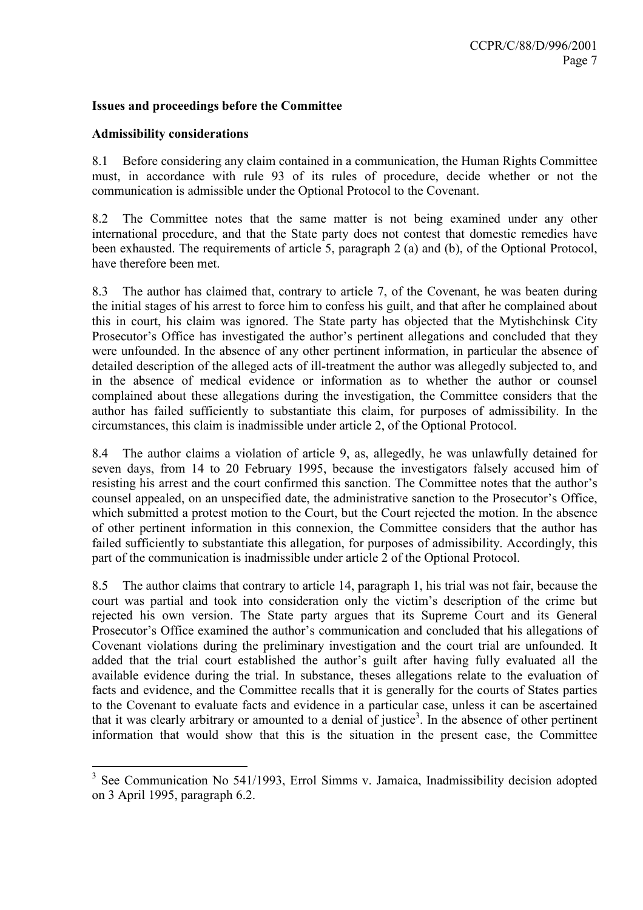## Issues and proceedings before the Committee

#### Admissibility considerations

8.1 Before considering any claim contained in a communication, the Human Rights Committee must, in accordance with rule 93 of its rules of procedure, decide whether or not the communication is admissible under the Optional Protocol to the Covenant.

8.2 The Committee notes that the same matter is not being examined under any other international procedure, and that the State party does not contest that domestic remedies have been exhausted. The requirements of article 5, paragraph 2 (a) and (b), of the Optional Protocol, have therefore been met.

8.3 The author has claimed that, contrary to article 7, of the Covenant, he was beaten during the initial stages of his arrest to force him to confess his guilt, and that after he complained about this in court, his claim was ignored. The State party has objected that the Mytishchinsk City Prosecutor's Office has investigated the author's pertinent allegations and concluded that they were unfounded. In the absence of any other pertinent information, in particular the absence of detailed description of the alleged acts of ill-treatment the author was allegedly subjected to, and in the absence of medical evidence or information as to whether the author or counsel complained about these allegations during the investigation, the Committee considers that the author has failed sufficiently to substantiate this claim, for purposes of admissibility. In the circumstances, this claim is inadmissible under article 2, of the Optional Protocol.

8.4 The author claims a violation of article 9, as, allegedly, he was unlawfully detained for seven days, from 14 to 20 February 1995, because the investigators falsely accused him of resisting his arrest and the court confirmed this sanction. The Committee notes that the author's counsel appealed, on an unspecified date, the administrative sanction to the Prosecutor's Office, which submitted a protest motion to the Court, but the Court rejected the motion. In the absence of other pertinent information in this connexion, the Committee considers that the author has failed sufficiently to substantiate this allegation, for purposes of admissibility. Accordingly, this part of the communication is inadmissible under article 2 of the Optional Protocol.

8.5 The author claims that contrary to article 14, paragraph 1, his trial was not fair, because the court was partial and took into consideration only the victim's description of the crime but rejected his own version. The State party argues that its Supreme Court and its General Prosecutor's Office examined the author's communication and concluded that his allegations of Covenant violations during the preliminary investigation and the court trial are unfounded. It added that the trial court established the author's guilt after having fully evaluated all the available evidence during the trial. In substance, theses allegations relate to the evaluation of facts and evidence, and the Committee recalls that it is generally for the courts of States parties to the Covenant to evaluate facts and evidence in a particular case, unless it can be ascertained that it was clearly arbitrary or amounted to a denial of justice<sup>3</sup>. In the absence of other pertinent information that would show that this is the situation in the present case, the Committee

<sup>&</sup>lt;sup>3</sup> See Communication No 541/1993, Errol Simms v. Jamaica, Inadmissibility decision adopted on 3 April 1995, paragraph 6.2.